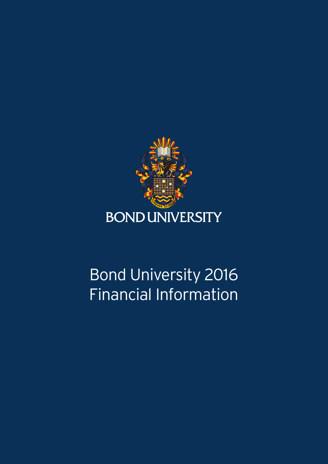

# Bond University 2016 Financial Information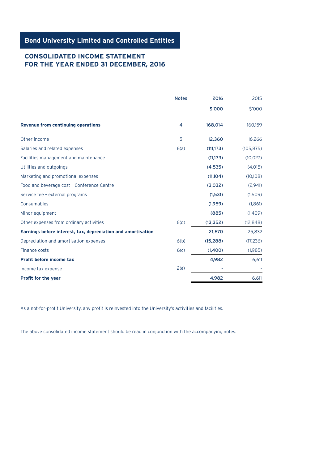**Bond University Limited and Controlled Entities**

## **CONSOLIDATED INCOME STATEMENT FOR THE YEAR ENDED 31 DECEMBER, 2016**

|                                                              | <b>Notes</b>   | 2016       | 2015       |
|--------------------------------------------------------------|----------------|------------|------------|
|                                                              |                | \$'000     | \$'000     |
| <b>Revenue from continuing operations</b>                    | $\overline{4}$ | 168,014    | 160,159    |
| Other income                                                 | 5              | 12,360     | 16,266     |
| Salaries and related expenses                                | 6(a)           | (111, 173) | (105, 875) |
| Facilities management and maintenance                        |                | (11, 133)  | (10, 027)  |
| Utilities and outgoings                                      |                | (4,535)    | (4,015)    |
| Marketing and promotional expenses                           |                | (11,104)   | (10,108)   |
| Food and beverage cost - Conference Centre                   |                | (3,032)    | (2,941)    |
| Service fee - external programs                              |                | (1,531)    | (1,509)    |
| Consumables                                                  |                | (1,959)    | (1,861)    |
| Minor equipment                                              |                | (885)      | (1,409)    |
| Other expenses from ordinary activities                      | 6(d)           | (13, 352)  | (12, 848)  |
| Earnings before interest, tax, depreciation and amortisation |                | 21,670     | 25,832     |
| Depreciation and amortisation expenses                       | 6(b)           | (15, 288)  | (17,236)   |
| Finance costs                                                | 6(c)           | (1,400)    | (1,985)    |
| Profit before income tax                                     |                | 4,982      | 6,611      |
| Income tax expense                                           | 2(e)           |            |            |
| Profit for the year                                          |                | 4,982      | 6,611      |

As a not-for-profit University, any profit is reinvested into the University's activities and facilities.

The above consolidated income statement should be read in conjunction with the accompanying notes.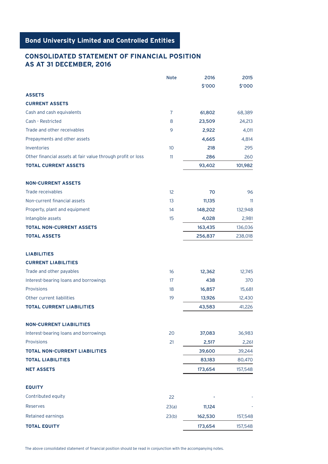### **CONSOLIDATED STATEMENT OF FINANCIAL POSITION AS AT 31 DECEMBER, 2016**

|                                                             | <b>Note</b>     | 2016    | 2015    |
|-------------------------------------------------------------|-----------------|---------|---------|
|                                                             |                 | \$'000  | \$'000  |
| <b>ASSETS</b>                                               |                 |         |         |
| <b>CURRENT ASSETS</b>                                       |                 |         |         |
| Cash and cash equivalents                                   | 7               | 61,802  | 68,389  |
| Cash - Restricted                                           | 8               | 23,509  | 24,213  |
| Trade and other receivables                                 | 9               | 2,922   | 4,011   |
| Prepayments and other assets                                |                 | 4,665   | 4,814   |
| Inventories                                                 | 10 <sup>°</sup> | 218     | 295     |
| Other financial assets at fair value through profit or loss | 11              | 286     | 260     |
| <b>TOTAL CURRENT ASSETS</b>                                 |                 | 93,402  | 101,982 |
| <b>NON-CURRENT ASSETS</b>                                   |                 |         |         |
| <b>Trade receivables</b>                                    | 12              | 70      | 96      |
| Non-current financial assets                                | 13              | 11,135  | 11      |
| Property, plant and equipment                               | 14              | 148,202 | 132,948 |
| Intangible assets                                           | 15              | 4,028   | 2,981   |
| <b>TOTAL NON-CURRENT ASSETS</b>                             |                 | 163,435 | 136,036 |
| <b>TOTAL ASSETS</b>                                         |                 | 256,837 | 238,018 |
| <b>LIABILITIES</b>                                          |                 |         |         |
| <b>CURRENT LIABILITIES</b>                                  |                 |         |         |
| Trade and other payables                                    | 16              | 12,362  | 12,745  |
| Interest-bearing loans and borrowings                       | 17              | 438     | 370     |
| Provisions                                                  | 18              | 16,857  | 15,681  |
| Other current liabilities                                   | 19              | 13,926  | 12,430  |
| <b>TOTAL CURRENT LIABILITIES</b>                            |                 | 43,583  | 41,226  |
| <b>NON-CURRENT LIABILITIES</b>                              |                 |         |         |
| Interest-bearing loans and borrowings                       | 20              | 37,083  | 36,983  |
| Provisions                                                  | 21              | 2,517   | 2,261   |
| <b>TOTAL NON-CURRENT LIABILITIES</b>                        |                 | 39,600  | 39,244  |
| <b>TOTAL LIABILITIES</b>                                    |                 | 83,183  | 80,470  |
| <b>NET ASSETS</b>                                           |                 | 173,654 | 157,548 |
| <b>EQUITY</b>                                               |                 |         |         |
| Contributed equity                                          | 22              |         |         |
| Reserves                                                    | 23(a)           | 11,124  |         |
| Retained earnings                                           | 23(b)           | 162,530 | 157,548 |
| <b>TOTAL EQUITY</b>                                         |                 | 173,654 | 157,548 |

The above consolidated statement of financial position should be read in conjunction with the accompanying notes.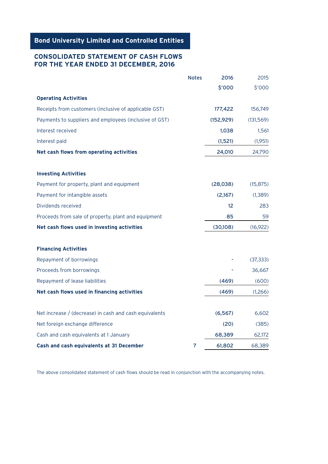## **Bond University Limited and Controlled Entities**

## **CONSOLIDATED STATEMENT OF CASH FLOWS FOR THE YEAR ENDED 31 DECEMBER, 2016**

|                                                        | <b>Notes</b> | 2016       | 2015       |
|--------------------------------------------------------|--------------|------------|------------|
|                                                        |              | \$'000     | \$'000     |
| <b>Operating Activities</b>                            |              |            |            |
| Receipts from customers (inclusive of applicable GST)  |              | 177,422    | 156,749    |
| Payments to suppliers and employees (inclusive of GST) |              | (152, 929) | (131, 569) |
| Interest received                                      |              | 1,038      | 1,561      |
| Interest paid                                          |              | (1, 521)   | (1,951)    |
| Net cash flows from operating activities               |              | 24,010     | 24,790     |
|                                                        |              |            |            |
| <b>Investing Activities</b>                            |              |            |            |
| Payment for property, plant and equipment              |              | (28,038)   | (15, 875)  |
| Payment for intangible assets                          |              | (2,167)    | (1, 389)   |
| Dividends received                                     |              | 12         | 283        |
| Proceeds from sale of property, plant and equipment    |              | 85         | 59         |
| Net cash flows used in investing activities            |              | (30, 108)  | (16, 922)  |
|                                                        |              |            |            |
| <b>Financing Activities</b>                            |              |            |            |
| Repayment of borrowings                                |              |            | (37, 333)  |
| Proceeds from borrowings                               |              |            | 36,667     |
| Repayment of lease liabilities                         |              | (469)      | (600)      |
| Net cash flows used in financing activities            |              | (469)      | (1,266)    |
|                                                        |              |            |            |
| Net increase / (decrease) in cash and cash equivalents |              | (6, 567)   | 6,602      |
| Net foreign exchange difference                        |              | (20)       | (385)      |
| Cash and cash equivalents at 1 January                 |              | 68,389     | 62,172     |
| Cash and cash equivalents at 31 December               | 7            | 61,802     | 68,389     |

The above consolidated statement of cash flows should be read in conjunction with the accompanying notes.